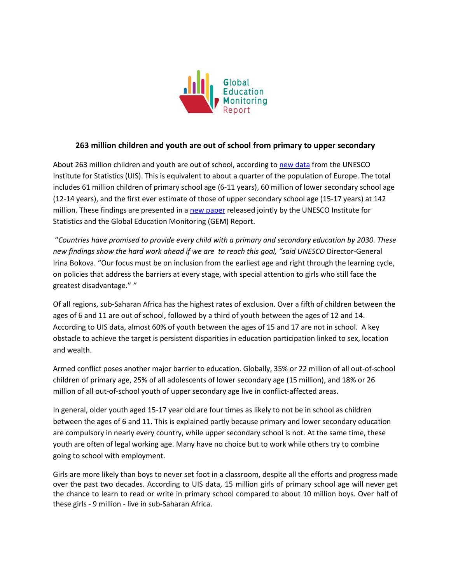

## **263 million children and youth are out of school from primary to upper secondary**

About 263 million children and youth are out of school, according to new [data](https://bitly.com/263million) from the UNESCO Institute for Statistics (UIS). This is equivalent to about a quarter of the population of Europe. The total includes 61 million children of primary school age (6-11 years), 60 million of lower secondary school age (12-14 years), and the first ever estimate of those of upper secondary school age (15-17 years) at 142 million. These findings are presented in a [new paper](https://bitly.com/263million) released jointly by the UNESCO Institute for Statistics and the Global Education Monitoring (GEM) Report.

"*Countries have promised to provide every child with a primary and secondary education by 2030. These new findings show the hard work ahead if we are to reach this goal, "said UNESCO* Director-General Irina Bokova. "Our focus must be on inclusion from the earliest age and right through the learning cycle, on policies that address the barriers at every stage, with special attention to girls who still face the greatest disadvantage." *"*

Of all regions, sub-Saharan Africa has the highest rates of exclusion. Over a fifth of children between the ages of 6 and 11 are out of school, followed by a third of youth between the ages of 12 and 14. According to UIS data, almost 60% of youth between the ages of 15 and 17 are not in school. A key obstacle to achieve the target is persistent disparities in education participation linked to sex, location and wealth.

Armed conflict poses another major barrier to education. Globally, 35% or 22 million of all out-of-school children of primary age, 25% of all adolescents of lower secondary age (15 million), and 18% or 26 million of all out-of-school youth of upper secondary age live in conflict-affected areas.

In general, older youth aged 15-17 year old are four times as likely to not be in school as children between the ages of 6 and 11. This is explained partly because primary and lower secondary education are compulsory in nearly every country, while upper secondary school is not. At the same time, these youth are often of legal working age. Many have no choice but to work while others try to combine going to school with employment.

Girls are more likely than boys to never set foot in a classroom, despite all the efforts and progress made over the past two decades. According to UIS data, 15 million girls of primary school age will never get the chance to learn to read or write in primary school compared to about 10 million boys. Over half of these girls - 9 million - live in sub-Saharan Africa.